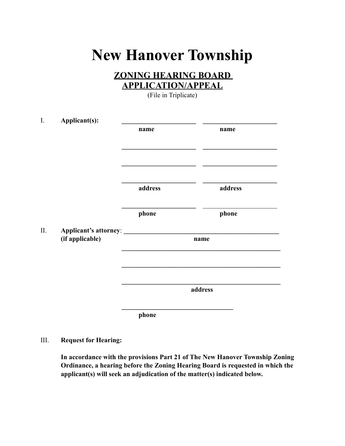## **New Hanover Township**

## **ZONING HEARING BOARD APPLICATION/APPEAL**

(File in Triplicate)

| I.         | Applicant(s):                |         |         |  |
|------------|------------------------------|---------|---------|--|
|            |                              | name    | name    |  |
|            |                              |         |         |  |
|            |                              |         |         |  |
|            |                              |         |         |  |
|            |                              | address | address |  |
|            |                              | phone   | phone   |  |
| $\rm{II}.$ | Applicant's attorney: ______ |         |         |  |
|            | (if applicable)              |         | name    |  |
|            |                              |         |         |  |
|            |                              |         |         |  |
|            |                              | address |         |  |
|            |                              | phone   |         |  |

III. **Request for Hearing:**

**In accordance with the provisions Part 21 of The New Hanover Township Zoning Ordinance, a hearing before the Zoning Hearing Board is requested in which the applicant(s) will seek an adjudication of the matter(s) indicated below.**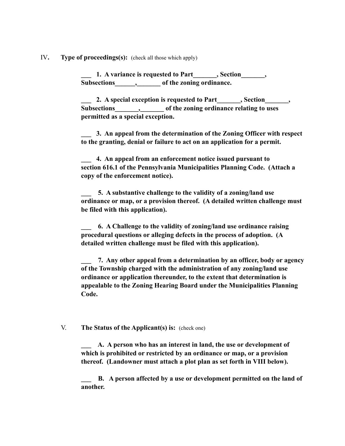IV**. Type of proceedings(s):** (check all those which apply)

1. A variance is requested to Part **1. A variance is requested to Part Subsections\_\_\_\_\_\_,\_\_\_\_\_\_\_ of the zoning ordinance.**

**2.** A special exception is requested to Part (2. A special exception is requested to Part **Subsections\_\_\_\_\_\_\_,\_\_\_\_\_\_\_ of the zoning ordinance relating to uses permitted as a special exception.**

**\_\_\_ 3. An appeal from the determination of the Zoning Officer with respect to the granting, denial or failure to act on an application for a permit.**

**\_\_\_ 4. An appeal from an enforcement notice issued pursuant to section 616.1 of the Pennsylvania Municipalities Planning Code. (Attach a copy of the enforcement notice).**

**\_\_\_ 5. A substantive challenge to the validity of a zoning/land use ordinance or map, or a provision thereof. (A detailed written challenge must be filed with this application).**

**\_\_\_ 6. A Challenge to the validity of zoning/land use ordinance raising procedural questions or alleging defects in the process of adoption. (A detailed written challenge must be filed with this application).** 

**\_\_\_ 7. Any other appeal from a determination by an officer, body or agency of the Township charged with the administration of any zoning/land use ordinance or application thereunder, to the extent that determination is appealable to the Zoning Hearing Board under the Municipalities Planning Code.**

V. **The Status of the Applicant(s) is:** (check one)

**\_\_\_ A. A person who has an interest in land, the use or development of which is prohibited or restricted by an ordinance or map, or a provision thereof. (Landowner must attach a plot plan as set forth in VIII below).**

**\_\_\_ B. A person affected by a use or development permitted on the land of another.**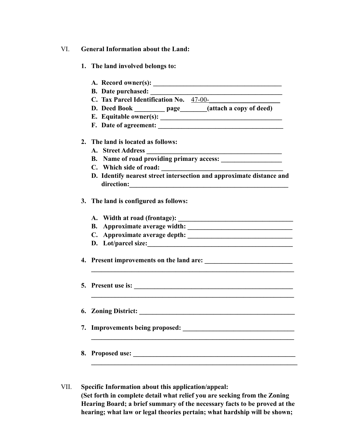- VI. **General Information about the Land:**
	- **1. The land involved belongs to:**
	- **A. Record owner(s): \_\_\_\_\_\_\_\_\_\_\_\_\_\_\_\_\_\_\_\_\_\_\_\_\_\_\_\_\_\_\_\_\_\_\_\_\_\_ B.** Date purchased: C. Tax Parcel Identification No. 47-00-**D. Deed Book page** (attach a copy of deed) **E. Equitable owner(s): \_\_\_\_\_\_\_\_\_\_\_\_\_\_\_\_\_\_\_\_\_\_\_\_\_\_\_\_\_\_\_\_\_\_\_\_ F. Date of agreement: \_\_\_\_\_\_\_\_\_\_\_\_\_\_\_\_\_\_\_\_\_\_\_\_\_\_\_\_\_\_\_\_\_\_\_\_\_ 2. The land is located as follows: A. Street Address \_\_\_\_\_\_\_\_\_\_\_\_\_\_\_\_\_\_\_\_\_\_\_\_\_\_\_\_\_\_\_\_\_\_\_\_\_\_\_\_ B. Name of road providing primary access: \_\_\_\_\_\_\_\_\_\_\_\_\_\_\_\_\_\_** C. Which side of road: **D. Identify nearest street intersection and approximate distance and direction:\_\_\_\_\_\_\_\_\_\_\_\_\_\_\_\_\_\_\_\_\_\_\_\_\_\_\_\_\_\_\_\_\_\_\_\_\_\_\_\_\_\_\_\_\_\_\_ 3. The land is configured as follows: A. Width at road (frontage): \_\_\_\_\_\_\_\_\_\_\_\_\_\_\_\_\_\_\_\_\_\_\_\_\_\_\_\_\_\_\_\_\_\_ B.** Approximate average width: **C.** Approximate average depth: **D. Lot/parcel size:\_\_\_\_\_\_\_\_\_\_\_\_\_\_\_\_\_\_\_\_\_\_\_\_\_\_\_\_\_\_\_\_\_\_\_\_\_\_\_\_\_\_\_ 4.** Present improvements on the land are:  $\mathcal{L}_\mathcal{L} = \{ \mathcal{L}_\mathcal{L} = \{ \mathcal{L}_\mathcal{L} = \{ \mathcal{L}_\mathcal{L} = \{ \mathcal{L}_\mathcal{L} = \{ \mathcal{L}_\mathcal{L} = \{ \mathcal{L}_\mathcal{L} = \{ \mathcal{L}_\mathcal{L} = \{ \mathcal{L}_\mathcal{L} = \{ \mathcal{L}_\mathcal{L} = \{ \mathcal{L}_\mathcal{L} = \{ \mathcal{L}_\mathcal{L} = \{ \mathcal{L}_\mathcal{L} = \{ \mathcal{L}_\mathcal{L} = \{ \mathcal{L}_\mathcal{$ **5. Present use is: \_\_\_\_\_\_\_\_\_\_\_\_\_\_\_\_\_\_\_\_\_\_\_\_\_\_\_\_\_\_\_\_\_\_\_\_\_\_\_\_\_\_\_\_\_\_\_**  $\mathcal{L}_\mathcal{L} = \{ \mathcal{L}_\mathcal{L} = \{ \mathcal{L}_\mathcal{L} = \{ \mathcal{L}_\mathcal{L} = \{ \mathcal{L}_\mathcal{L} = \{ \mathcal{L}_\mathcal{L} = \{ \mathcal{L}_\mathcal{L} = \{ \mathcal{L}_\mathcal{L} = \{ \mathcal{L}_\mathcal{L} = \{ \mathcal{L}_\mathcal{L} = \{ \mathcal{L}_\mathcal{L} = \{ \mathcal{L}_\mathcal{L} = \{ \mathcal{L}_\mathcal{L} = \{ \mathcal{L}_\mathcal{L} = \{ \mathcal{L}_\mathcal{$ **6. Zoning District:** *Conserversity District:* **<b>***Conserversity District: Conserversity District:* **7.** Improvements being proposed:  $\mathcal{L}_\mathcal{L} = \{ \mathcal{L}_\mathcal{L} = \{ \mathcal{L}_\mathcal{L} = \{ \mathcal{L}_\mathcal{L} = \{ \mathcal{L}_\mathcal{L} = \{ \mathcal{L}_\mathcal{L} = \{ \mathcal{L}_\mathcal{L} = \{ \mathcal{L}_\mathcal{L} = \{ \mathcal{L}_\mathcal{L} = \{ \mathcal{L}_\mathcal{L} = \{ \mathcal{L}_\mathcal{L} = \{ \mathcal{L}_\mathcal{L} = \{ \mathcal{L}_\mathcal{L} = \{ \mathcal{L}_\mathcal{L} = \{ \mathcal{L}_\mathcal{$ **8. Proposed use:**  $\blacksquare$  $\mathcal{L}_\mathcal{L} = \{ \mathcal{L}_\mathcal{L} = \{ \mathcal{L}_\mathcal{L} \}$
- VII. **Specific Information about this application/appeal: (Set forth in complete detail what relief you are seeking from the Zoning Hearing Board; a brief summary of the necessary facts to be proved at the hearing; what law or legal theories pertain; what hardship will be shown;**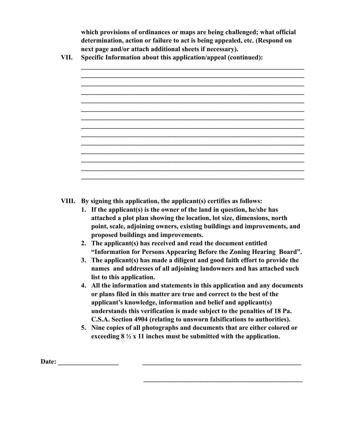**which provisions of ordinances or maps are being challenged; what official determination, action or failure to act is being appealed, etc. (Respond on next page and/or attach additional sheets if necessary).**

**VII. Specific Information about this application/appeal (continued):**

**VIII. By signing this application, the applicant(s) certifies as follows:**

- **1. If the applicant(s) is the owner of the land in question, he/she has attached a plot plan showing the location, lot size, dimensions, north point, scale, adjoining owners, existing buildings and improvements, and proposed buildings and improvements.**
- **2. The applicant(s) has received and read the document entitled "Information for Persons Appearing Before the Zoning Hearing Board".**
- **3. The applicant(s) has made a diligent and good faith effort to provide the names and addresses of all adjoining landowners and has attached such list to this application.**
- **4. All the information and statements in this application and any documents or plans filed in this matter are true and correct to the best of the applicant's knowledge, information and belief and applicant(s) understands this verification is made subject to the penalties of 18 Pa. C.S.A. Section 4904 (relating to unsworn falsifications to authorities).**
- **5. Nine copies of all photographs and documents that are either colored or exceeding 8 ½ x 11 inches must be submitted with the application.**

 $\mathcal{L} = \{ \mathcal{L} \mid \mathcal{L} \in \mathcal{L} \}$  , where  $\mathcal{L} = \{ \mathcal{L} \mid \mathcal{L} \in \mathcal{L} \}$ 

Date: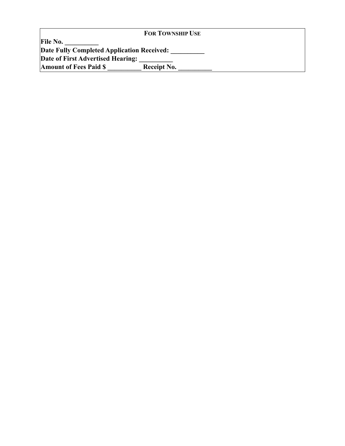|                                            | <b>FOR TOWNSHIP USE</b> |  |
|--------------------------------------------|-------------------------|--|
| <b>File No.</b>                            |                         |  |
| Date Fully Completed Application Received: |                         |  |
| Date of First Advertised Hearing:          |                         |  |
| <b>Amount of Fees Paid \$</b>              | Receipt No.             |  |